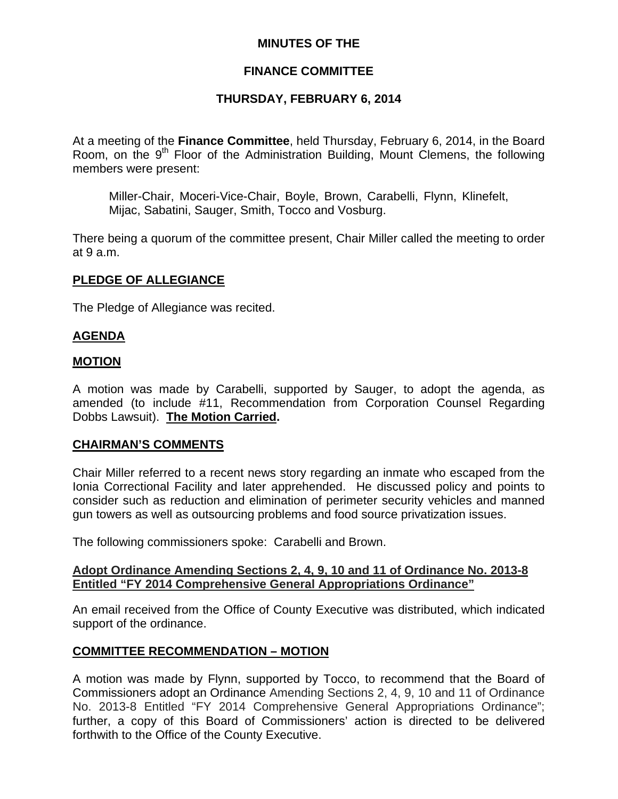# **MINUTES OF THE**

# **FINANCE COMMITTEE**

# **THURSDAY, FEBRUARY 6, 2014**

At a meeting of the **Finance Committee**, held Thursday, February 6, 2014, in the Board Room, on the 9<sup>th</sup> Floor of the Administration Building, Mount Clemens, the following members were present:

Miller-Chair, Moceri-Vice-Chair, Boyle, Brown, Carabelli, Flynn, Klinefelt, Mijac, Sabatini, Sauger, Smith, Tocco and Vosburg.

There being a quorum of the committee present, Chair Miller called the meeting to order at 9 a.m.

## **PLEDGE OF ALLEGIANCE**

The Pledge of Allegiance was recited.

# **AGENDA**

## **MOTION**

A motion was made by Carabelli, supported by Sauger, to adopt the agenda, as amended (to include #11, Recommendation from Corporation Counsel Regarding Dobbs Lawsuit). **The Motion Carried.** 

## **CHAIRMAN'S COMMENTS**

Chair Miller referred to a recent news story regarding an inmate who escaped from the Ionia Correctional Facility and later apprehended. He discussed policy and points to consider such as reduction and elimination of perimeter security vehicles and manned gun towers as well as outsourcing problems and food source privatization issues.

The following commissioners spoke: Carabelli and Brown.

## **Adopt Ordinance Amending Sections 2, 4, 9, 10 and 11 of Ordinance No. 2013-8 Entitled "FY 2014 Comprehensive General Appropriations Ordinance"**

An email received from the Office of County Executive was distributed, which indicated support of the ordinance.

## **COMMITTEE RECOMMENDATION – MOTION**

A motion was made by Flynn, supported by Tocco, to recommend that the Board of Commissioners adopt an Ordinance Amending Sections 2, 4, 9, 10 and 11 of Ordinance No. 2013-8 Entitled "FY 2014 Comprehensive General Appropriations Ordinance"; further, a copy of this Board of Commissioners' action is directed to be delivered forthwith to the Office of the County Executive.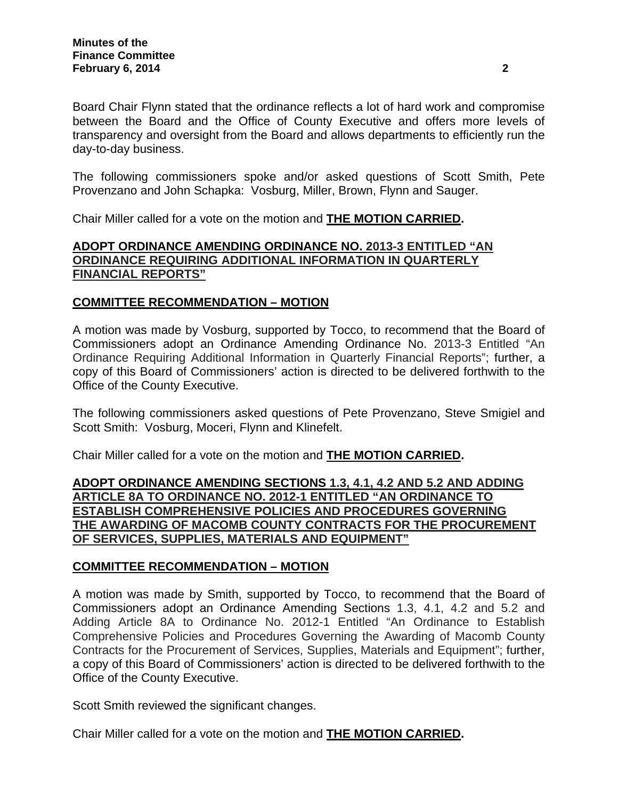Board Chair Flynn stated that the ordinance reflects a lot of hard work and compromise between the Board and the Office of County Executive and offers more levels of transparency and oversight from the Board and allows departments to efficiently run the day-to-day business.

The following commissioners spoke and/or asked questions of Scott Smith, Pete Provenzano and John Schapka: Vosburg, Miller, Brown, Flynn and Sauger.

Chair Miller called for a vote on the motion and **THE MOTION CARRIED.** 

# **ADOPT ORDINANCE AMENDING ORDINANCE NO. 2013-3 ENTITLED "AN ORDINANCE REQUIRING ADDITIONAL INFORMATION IN QUARTERLY FINANCIAL REPORTS"**

# **COMMITTEE RECOMMENDATION – MOTION**

A motion was made by Vosburg, supported by Tocco, to recommend that the Board of Commissioners adopt an Ordinance Amending Ordinance No. 2013-3 Entitled "An Ordinance Requiring Additional Information in Quarterly Financial Reports"; further, a copy of this Board of Commissioners' action is directed to be delivered forthwith to the Office of the County Executive.

The following commissioners asked questions of Pete Provenzano, Steve Smigiel and Scott Smith: Vosburg, Moceri, Flynn and Klinefelt.

Chair Miller called for a vote on the motion and **THE MOTION CARRIED.** 

**ADOPT ORDINANCE AMENDING SECTIONS 1.3, 4.1, 4.2 AND 5.2 AND ADDING ARTICLE 8A TO ORDINANCE NO. 2012-1 ENTITLED "AN ORDINANCE TO ESTABLISH COMPREHENSIVE POLICIES AND PROCEDURES GOVERNING THE AWARDING OF MACOMB COUNTY CONTRACTS FOR THE PROCUREMENT OF SERVICES, SUPPLIES, MATERIALS AND EQUIPMENT"**

## **COMMITTEE RECOMMENDATION – MOTION**

A motion was made by Smith, supported by Tocco, to recommend that the Board of Commissioners adopt an Ordinance Amending Sections 1.3, 4.1, 4.2 and 5.2 and Adding Article 8A to Ordinance No. 2012-1 Entitled "An Ordinance to Establish Comprehensive Policies and Procedures Governing the Awarding of Macomb County Contracts for the Procurement of Services, Supplies, Materials and Equipment"; further, a copy of this Board of Commissioners' action is directed to be delivered forthwith to the Office of the County Executive.

Scott Smith reviewed the significant changes.

Chair Miller called for a vote on the motion and **THE MOTION CARRIED.**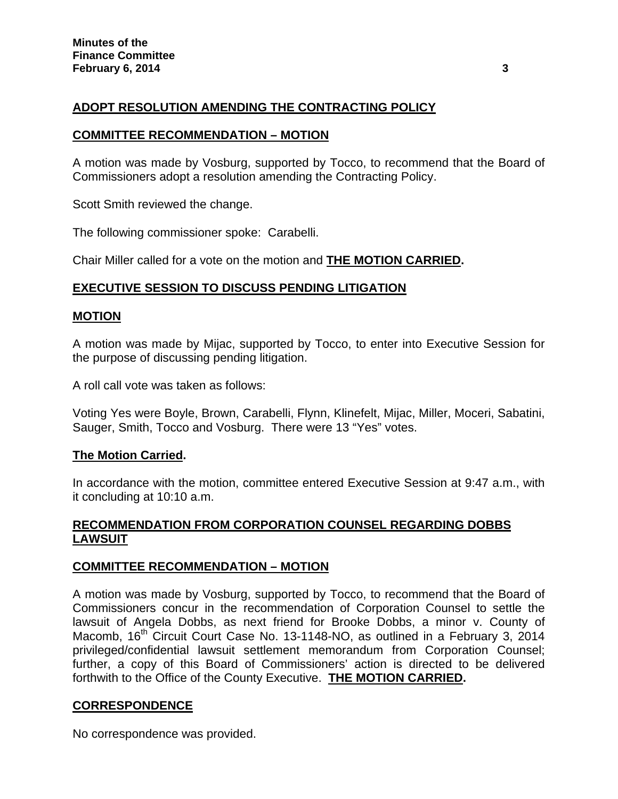# **ADOPT RESOLUTION AMENDING THE CONTRACTING POLICY**

## **COMMITTEE RECOMMENDATION – MOTION**

A motion was made by Vosburg, supported by Tocco, to recommend that the Board of Commissioners adopt a resolution amending the Contracting Policy.

Scott Smith reviewed the change.

The following commissioner spoke: Carabelli.

Chair Miller called for a vote on the motion and **THE MOTION CARRIED.** 

# **EXECUTIVE SESSION TO DISCUSS PENDING LITIGATION**

# **MOTION**

A motion was made by Mijac, supported by Tocco, to enter into Executive Session for the purpose of discussing pending litigation.

A roll call vote was taken as follows:

Voting Yes were Boyle, Brown, Carabelli, Flynn, Klinefelt, Mijac, Miller, Moceri, Sabatini, Sauger, Smith, Tocco and Vosburg. There were 13 "Yes" votes.

## **The Motion Carried.**

In accordance with the motion, committee entered Executive Session at 9:47 a.m., with it concluding at 10:10 a.m.

# **RECOMMENDATION FROM CORPORATION COUNSEL REGARDING DOBBS LAWSUIT**

## **COMMITTEE RECOMMENDATION – MOTION**

A motion was made by Vosburg, supported by Tocco, to recommend that the Board of Commissioners concur in the recommendation of Corporation Counsel to settle the lawsuit of Angela Dobbs, as next friend for Brooke Dobbs, a minor v. County of Macomb, 16<sup>th</sup> Circuit Court Case No. 13-1148-NO, as outlined in a February 3, 2014 privileged/confidential lawsuit settlement memorandum from Corporation Counsel; further, a copy of this Board of Commissioners' action is directed to be delivered forthwith to the Office of the County Executive. **THE MOTION CARRIED.** 

# **CORRESPONDENCE**

No correspondence was provided.